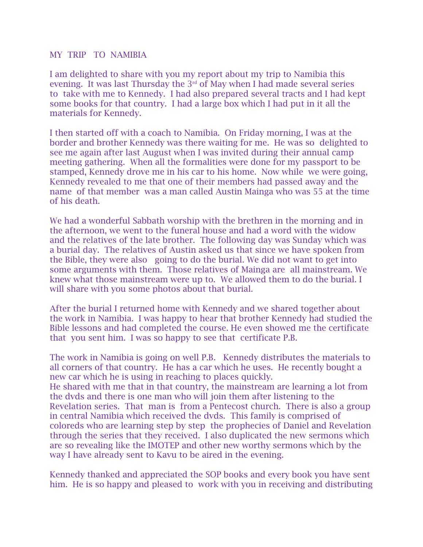## MY TRIP TO NAMIBIA

I am delighted to share with you my report about my trip to Namibia this evening. It was last Thursday the 3<sup>rd</sup> of May when I had made several series to take with me to Kennedy. I had also prepared several tracts and I had kept some books for that country. I had a large box which I had put in it all the materials for Kennedy.

I then started off with a coach to Namibia. On Friday morning, I was at the border and brother Kennedy was there waiting for me. He was so delighted to see me again after last August when I was invited during their annual camp meeting gathering. When all the formalities were done for my passport to be stamped, Kennedy drove me in his car to his home. Now while we were going, Kennedy revealed to me that one of their members had passed away and the name of that member was a man called Austin Mainga who was 55 at the time of his death.

We had a wonderful Sabbath worship with the brethren in the morning and in the afternoon, we went to the funeral house and had a word with the widow and the relatives of the late brother. The following day was Sunday which was a burial day. The relatives of Austin asked us that since we have spoken from the Bible, they were also going to do the burial. We did not want to get into some arguments with them. Those relatives of Mainga are all mainstream. We knew what those mainstream were up to. We allowed them to do the burial. I will share with you some photos about that burial.

After the burial I returned home with Kennedy and we shared together about the work in Namibia. I was happy to hear that brother Kennedy had studied the Bible lessons and had completed the course. He even showed me the certificate that you sent him. I was so happy to see that certificate P.B.

The work in Namibia is going on well P.B. Kennedy distributes the materials to all corners of that country. He has a car which he uses. He recently bought a new car which he is using in reaching to places quickly. He shared with me that in that country, the mainstream are learning a lot from the dvds and there is one man who will join them after listening to the

Revelation series. That man is from a Pentecost church. There is also a group in central Namibia which received the dvds. This family is comprised of coloreds who are learning step by step the prophecies of Daniel and Revelation through the series that they received. I also duplicated the new sermons which are so revealing like the IMOTEP and other new worthy sermons which by the way I have already sent to Kavu to be aired in the evening.

Kennedy thanked and appreciated the SOP books and every book you have sent him. He is so happy and pleased to work with you in receiving and distributing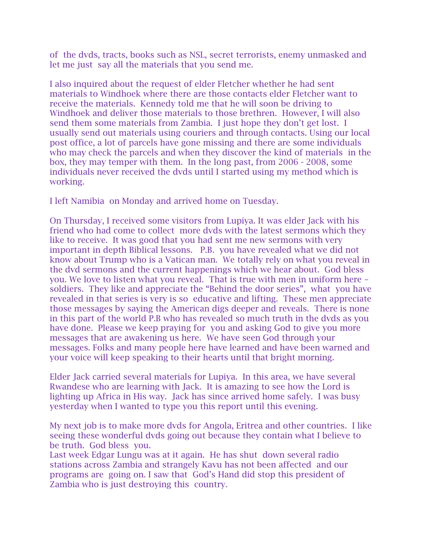of the dvds, tracts, books such as NSL, secret terrorists, enemy unmasked and let me just say all the materials that you send me.

I also inquired about the request of elder Fletcher whether he had sent materials to Windhoek where there are those contacts elder Fletcher want to receive the materials. Kennedy told me that he will soon be driving to Windhoek and deliver those materials to those brethren. However, I will also send them some materials from Zambia. I just hope they don't get lost. I usually send out materials using couriers and through contacts. Using our local post office, a lot of parcels have gone missing and there are some individuals who may check the parcels and when they discover the kind of materials in the box, they may temper with them. In the long past, from 2006 - 2008, some individuals never received the dvds until I started using my method which is working.

I left Namibia on Monday and arrived home on Tuesday.

On Thursday, I received some visitors from Lupiya. It was elder Jack with his friend who had come to collect more dvds with the latest sermons which they like to receive. It was good that you had sent me new sermons with very important in depth Biblical lessons. P.B. you have revealed what we did not know about Trump who is a Vatican man. We totally rely on what you reveal in the dvd sermons and the current happenings which we hear about. God bless you. We love to listen what you reveal. That is true with men in uniform here – soldiers. They like and appreciate the "Behind the door series", what you have revealed in that series is very is so educative and lifting. These men appreciate those messages by saying the American digs deeper and reveals. There is none in this part of the world P.B who has revealed so much truth in the dvds as you have done. Please we keep praying for you and asking God to give you more messages that are awakening us here. We have seen God through your messages. Folks and many people here have learned and have been warned and your voice will keep speaking to their hearts until that bright morning.

Elder Jack carried several materials for Lupiya. In this area, we have several Rwandese who are learning with Jack. It is amazing to see how the Lord is lighting up Africa in His way. Jack has since arrived home safely. I was busy yesterday when I wanted to type you this report until this evening.

My next job is to make more dvds for Angola, Eritrea and other countries. I like seeing these wonderful dvds going out because they contain what I believe to be truth. God bless you.

Last week Edgar Lungu was at it again. He has shut down several radio stations across Zambia and strangely Kavu has not been affected and our programs are going on. I saw that God's Hand did stop this president of Zambia who is just destroying this country.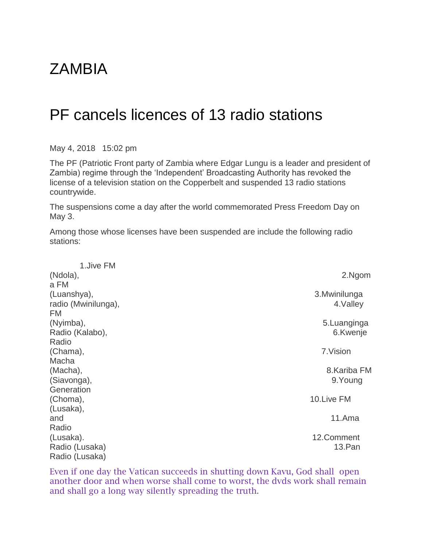## **ZAMBIA**

## PF cancels licences of 13 radio stations

May 4, 2018 15:02 pm

The PF (Patriotic Front party of Zambia where Edgar Lungu is a leader and president of Zambia) regime through the 'Independent' Broadcasting Authority has revoked the license of a television station on the Copperbelt and suspended 13 radio stations countrywide.

The suspensions come a day after the world commemorated Press Freedom Day on May 3.

Among those whose licenses have been suspended are include the following radio stations:

| 1.Jive FM           |               |
|---------------------|---------------|
| (Ndola),            | 2.Ngom        |
| a FM                |               |
| (Luanshya),         | 3. Mwinilunga |
| radio (Mwinilunga), | 4. Valley     |
| FM                  |               |
| (Nyimba),           | 5. Luanginga  |
| Radio (Kalabo),     | 6.Kwenje      |
| Radio               |               |
| (Chama),            | 7. Vision     |
| Macha               |               |
| (Macha),            | 8. Kariba FM  |
| (Siavonga),         | 9.Young       |
| Generation          |               |
| (Choma),            | 10.Live FM    |
| (Lusaka),           |               |
| and                 | 11.Ama        |
| Radio               |               |
| (Lusaka).           | 12.Comment    |
| Radio (Lusaka)      | 13.Pan        |
| Radio (Lusaka)      |               |

Even if one day the Vatican succeeds in shutting down Kavu, God shall open another door and when worse shall come to worst, the dvds work shall remain and shall go a long way silently spreading the truth.